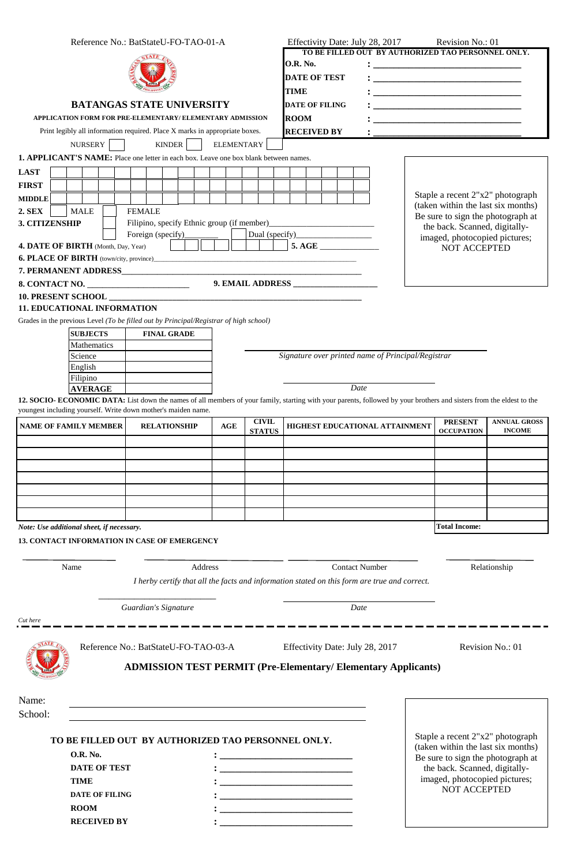| Reference No.: BatStateU-FO-TAO-01-A                     |                                                                                                                                                                                                                                        |                      |  |        |                                                    |  |                   |  |               |                                                                       | Effectivity Date: July 28, 2017<br>Revision No.: 01                                                                   |  |  |      |                                                                |                                                                                              |                                                                        |                                                                                                                       |                     |  |  |
|----------------------------------------------------------|----------------------------------------------------------------------------------------------------------------------------------------------------------------------------------------------------------------------------------------|----------------------|--|--------|----------------------------------------------------|--|-------------------|--|---------------|-----------------------------------------------------------------------|-----------------------------------------------------------------------------------------------------------------------|--|--|------|----------------------------------------------------------------|----------------------------------------------------------------------------------------------|------------------------------------------------------------------------|-----------------------------------------------------------------------------------------------------------------------|---------------------|--|--|
| <b>BATANGAS STATE UNIVERSITY</b>                         |                                                                                                                                                                                                                                        |                      |  |        |                                                    |  |                   |  |               | TO BE FILLED OUT BY AUTHORIZED TAO PERSONNEL ONLY.<br><b>O.R. No.</b> |                                                                                                                       |  |  |      |                                                                |                                                                                              |                                                                        |                                                                                                                       |                     |  |  |
|                                                          |                                                                                                                                                                                                                                        |                      |  |        |                                                    |  |                   |  |               |                                                                       | <b>DATE OF TEST</b><br><b>TIME</b><br><b>DATE OF FILING</b>                                                           |  |  |      |                                                                |                                                                                              |                                                                        |                                                                                                                       |                     |  |  |
|                                                          |                                                                                                                                                                                                                                        |                      |  |        |                                                    |  |                   |  |               |                                                                       |                                                                                                                       |  |  |      |                                                                |                                                                                              |                                                                        |                                                                                                                       |                     |  |  |
|                                                          |                                                                                                                                                                                                                                        |                      |  |        |                                                    |  |                   |  |               |                                                                       |                                                                                                                       |  |  |      |                                                                |                                                                                              |                                                                        |                                                                                                                       |                     |  |  |
| APPLICATION FORM FOR PRE-ELEMENTARY/ELEMENTARY ADMISSION |                                                                                                                                                                                                                                        |                      |  |        |                                                    |  |                   |  |               |                                                                       | <b>ROOM</b>                                                                                                           |  |  |      |                                                                |                                                                                              |                                                                        | <u> 1989 - Johann Harry Harry Harry Harry Harry Harry Harry Harry Harry Harry Harry Harry Harry Harry Harry Harry</u> |                     |  |  |
|                                                          | Print legibly all information required. Place X marks in appropriate boxes.<br>NURSERY                                                                                                                                                 |                      |  |        |                                                    |  | <b>ELEMENTARY</b> |  |               |                                                                       | <b>RECEIVED BY</b>                                                                                                    |  |  |      |                                                                |                                                                                              |                                                                        |                                                                                                                       |                     |  |  |
|                                                          | 1. APPLICANT'S NAME: Place one letter in each box. Leave one box blank between names.                                                                                                                                                  |                      |  | KINDER |                                                    |  |                   |  |               |                                                                       |                                                                                                                       |  |  |      |                                                                |                                                                                              |                                                                        |                                                                                                                       |                     |  |  |
| <b>LAST</b>                                              |                                                                                                                                                                                                                                        |                      |  |        |                                                    |  |                   |  |               |                                                                       |                                                                                                                       |  |  |      |                                                                |                                                                                              |                                                                        |                                                                                                                       |                     |  |  |
| <b>FIRST</b>                                             |                                                                                                                                                                                                                                        |                      |  |        |                                                    |  |                   |  |               |                                                                       |                                                                                                                       |  |  |      |                                                                |                                                                                              |                                                                        |                                                                                                                       |                     |  |  |
| <b>MIDDLE</b>                                            |                                                                                                                                                                                                                                        |                      |  |        |                                                    |  |                   |  |               |                                                                       |                                                                                                                       |  |  |      |                                                                |                                                                                              | Staple a recent 2"x2" photograph<br>(taken within the last six months) |                                                                                                                       |                     |  |  |
| <b>2. SEX</b>                                            | <b>MALE</b><br><b>FEMALE</b><br><b>3. CITIZENSHIP</b>                                                                                                                                                                                  |                      |  |        |                                                    |  |                   |  |               |                                                                       |                                                                                                                       |  |  |      |                                                                | Be sure to sign the photograph at                                                            |                                                                        |                                                                                                                       |                     |  |  |
| Foreign (specify)                                        |                                                                                                                                                                                                                                        |                      |  |        |                                                    |  |                   |  |               |                                                                       |                                                                                                                       |  |  |      | the back. Scanned, digitally-<br>imaged, photocopied pictures; |                                                                                              |                                                                        |                                                                                                                       |                     |  |  |
|                                                          | 4. DATE OF BIRTH (Month, Day, Year)                                                                                                                                                                                                    |                      |  |        |                                                    |  |                   |  |               |                                                                       | 5. AGE                                                                                                                |  |  |      |                                                                |                                                                                              |                                                                        | <b>NOT ACCEPTED</b>                                                                                                   |                     |  |  |
|                                                          |                                                                                                                                                                                                                                        |                      |  |        |                                                    |  |                   |  |               |                                                                       |                                                                                                                       |  |  |      |                                                                |                                                                                              |                                                                        |                                                                                                                       |                     |  |  |
| 8. CONTACT NO.                                           |                                                                                                                                                                                                                                        |                      |  |        |                                                    |  |                   |  |               |                                                                       |                                                                                                                       |  |  |      |                                                                |                                                                                              |                                                                        |                                                                                                                       |                     |  |  |
|                                                          |                                                                                                                                                                                                                                        |                      |  |        |                                                    |  |                   |  |               |                                                                       |                                                                                                                       |  |  |      |                                                                |                                                                                              |                                                                        |                                                                                                                       |                     |  |  |
|                                                          | <b>11. EDUCATIONAL INFORMATION</b>                                                                                                                                                                                                     |                      |  |        |                                                    |  |                   |  |               |                                                                       |                                                                                                                       |  |  |      |                                                                |                                                                                              |                                                                        |                                                                                                                       |                     |  |  |
|                                                          | Grades in the previous Level (To be filled out by Principal/Registrar of high school)<br><b>SUBJECTS</b>                                                                                                                               |                      |  |        |                                                    |  |                   |  |               |                                                                       |                                                                                                                       |  |  |      |                                                                |                                                                                              |                                                                        |                                                                                                                       |                     |  |  |
|                                                          | <b>FINAL GRADE</b><br><b>Mathematics</b>                                                                                                                                                                                               |                      |  |        |                                                    |  |                   |  |               |                                                                       |                                                                                                                       |  |  |      |                                                                |                                                                                              |                                                                        |                                                                                                                       |                     |  |  |
| Science                                                  |                                                                                                                                                                                                                                        |                      |  |        | Signature over printed name of Principal/Registrar |  |                   |  |               |                                                                       |                                                                                                                       |  |  |      |                                                                |                                                                                              |                                                                        |                                                                                                                       |                     |  |  |
|                                                          | English<br>Filipino                                                                                                                                                                                                                    |                      |  |        |                                                    |  |                   |  |               |                                                                       |                                                                                                                       |  |  |      |                                                                |                                                                                              |                                                                        |                                                                                                                       |                     |  |  |
|                                                          | <b>AVERAGE</b>                                                                                                                                                                                                                         |                      |  |        |                                                    |  |                   |  |               |                                                                       |                                                                                                                       |  |  | Date |                                                                |                                                                                              |                                                                        |                                                                                                                       |                     |  |  |
|                                                          | 12. SOCIO- ECONOMIC DATA: List down the names of all members of your family, starting with your parents, followed by your brothers and sisters from the eldest to the<br>youngest including yourself. Write down mother's maiden name. |                      |  |        |                                                    |  |                   |  |               |                                                                       |                                                                                                                       |  |  |      |                                                                |                                                                                              |                                                                        |                                                                                                                       |                     |  |  |
|                                                          | <b>NAME OF FAMILY MEMBER</b>                                                                                                                                                                                                           |                      |  |        | <b>RELATIONSHIP</b>                                |  | AGE               |  | <b>CIVIL</b>  |                                                                       |                                                                                                                       |  |  |      |                                                                | HIGHEST EDUCATIONAL ATTAINMENT                                                               |                                                                        | <b>PRESENT</b>                                                                                                        | <b>ANNUAL GROSS</b> |  |  |
|                                                          |                                                                                                                                                                                                                                        |                      |  |        |                                                    |  |                   |  | <b>STATUS</b> |                                                                       |                                                                                                                       |  |  |      |                                                                |                                                                                              |                                                                        | <b>OCCUPATION</b>                                                                                                     | <b>INCOME</b>       |  |  |
|                                                          |                                                                                                                                                                                                                                        |                      |  |        |                                                    |  |                   |  |               |                                                                       |                                                                                                                       |  |  |      |                                                                |                                                                                              |                                                                        |                                                                                                                       |                     |  |  |
|                                                          |                                                                                                                                                                                                                                        |                      |  |        |                                                    |  |                   |  |               |                                                                       |                                                                                                                       |  |  |      |                                                                |                                                                                              |                                                                        |                                                                                                                       |                     |  |  |
|                                                          |                                                                                                                                                                                                                                        |                      |  |        |                                                    |  |                   |  |               |                                                                       |                                                                                                                       |  |  |      |                                                                |                                                                                              |                                                                        |                                                                                                                       |                     |  |  |
|                                                          |                                                                                                                                                                                                                                        |                      |  |        |                                                    |  |                   |  |               |                                                                       |                                                                                                                       |  |  |      |                                                                |                                                                                              |                                                                        |                                                                                                                       |                     |  |  |
|                                                          |                                                                                                                                                                                                                                        |                      |  |        |                                                    |  |                   |  |               |                                                                       |                                                                                                                       |  |  |      |                                                                |                                                                                              |                                                                        |                                                                                                                       |                     |  |  |
|                                                          | Note: Use additional sheet, if necessary.<br><b>13. CONTACT INFORMATION IN CASE OF EMERGENCY</b>                                                                                                                                       |                      |  |        |                                                    |  |                   |  |               |                                                                       |                                                                                                                       |  |  |      |                                                                |                                                                                              |                                                                        | <b>Total Income:</b>                                                                                                  |                     |  |  |
|                                                          |                                                                                                                                                                                                                                        |                      |  |        |                                                    |  |                   |  |               |                                                                       |                                                                                                                       |  |  |      |                                                                |                                                                                              |                                                                        |                                                                                                                       |                     |  |  |
| Address<br>Name                                          |                                                                                                                                                                                                                                        |                      |  |        |                                                    |  |                   |  |               |                                                                       | <b>Contact Number</b>                                                                                                 |  |  |      |                                                                |                                                                                              |                                                                        |                                                                                                                       | Relationship        |  |  |
|                                                          |                                                                                                                                                                                                                                        |                      |  |        |                                                    |  |                   |  |               |                                                                       |                                                                                                                       |  |  |      |                                                                | I herby certify that all the facts and information stated on this form are true and correct. |                                                                        |                                                                                                                       |                     |  |  |
|                                                          |                                                                                                                                                                                                                                        |                      |  |        |                                                    |  |                   |  |               |                                                                       |                                                                                                                       |  |  |      |                                                                |                                                                                              |                                                                        |                                                                                                                       |                     |  |  |
|                                                          |                                                                                                                                                                                                                                        | Guardian's Signature |  |        |                                                    |  |                   |  |               |                                                                       |                                                                                                                       |  |  | Date |                                                                |                                                                                              |                                                                        |                                                                                                                       |                     |  |  |
| Cut here                                                 |                                                                                                                                                                                                                                        |                      |  |        |                                                    |  |                   |  |               |                                                                       |                                                                                                                       |  |  |      |                                                                |                                                                                              |                                                                        |                                                                                                                       |                     |  |  |
|                                                          | Reference No.: BatStateU-FO-TAO-03-A                                                                                                                                                                                                   |                      |  |        |                                                    |  |                   |  |               |                                                                       | Effectivity Date: July 28, 2017                                                                                       |  |  |      |                                                                |                                                                                              |                                                                        |                                                                                                                       | Revision No.: 01    |  |  |
|                                                          |                                                                                                                                                                                                                                        |                      |  |        |                                                    |  |                   |  |               |                                                                       |                                                                                                                       |  |  |      |                                                                | <b>ADMISSION TEST PERMIT (Pre-Elementary/Elementary Applicants)</b>                          |                                                                        |                                                                                                                       |                     |  |  |
|                                                          |                                                                                                                                                                                                                                        |                      |  |        |                                                    |  |                   |  |               |                                                                       |                                                                                                                       |  |  |      |                                                                |                                                                                              |                                                                        |                                                                                                                       |                     |  |  |
|                                                          |                                                                                                                                                                                                                                        |                      |  |        |                                                    |  |                   |  |               |                                                                       |                                                                                                                       |  |  |      |                                                                |                                                                                              |                                                                        |                                                                                                                       |                     |  |  |
| Name:<br>School:                                         |                                                                                                                                                                                                                                        |                      |  |        |                                                    |  |                   |  |               |                                                                       |                                                                                                                       |  |  |      |                                                                |                                                                                              |                                                                        |                                                                                                                       |                     |  |  |
|                                                          |                                                                                                                                                                                                                                        |                      |  |        |                                                    |  |                   |  |               |                                                                       |                                                                                                                       |  |  |      |                                                                |                                                                                              |                                                                        |                                                                                                                       |                     |  |  |
| TO BE FILLED OUT BY AUTHORIZED TAO PERSONNEL ONLY.       |                                                                                                                                                                                                                                        |                      |  |        |                                                    |  |                   |  |               |                                                                       | Staple a recent 2"x2" photograph                                                                                      |  |  |      |                                                                |                                                                                              |                                                                        |                                                                                                                       |                     |  |  |
| <b>O.R. No.</b>                                          |                                                                                                                                                                                                                                        |                      |  |        |                                                    |  |                   |  |               |                                                                       |                                                                                                                       |  |  |      |                                                                | (taken within the last six months)<br>Be sure to sign the photograph at                      |                                                                        |                                                                                                                       |                     |  |  |
| <b>DATE OF TEST</b>                                      |                                                                                                                                                                                                                                        |                      |  |        |                                                    |  |                   |  |               |                                                                       |                                                                                                                       |  |  |      |                                                                | the back. Scanned, digitally-                                                                |                                                                        |                                                                                                                       |                     |  |  |
| <b>TIME</b>                                              |                                                                                                                                                                                                                                        |                      |  |        |                                                    |  |                   |  |               |                                                                       |                                                                                                                       |  |  |      |                                                                | imaged, photocopied pictures;<br>NOT ACCEPTED                                                |                                                                        |                                                                                                                       |                     |  |  |
|                                                          | <b>DATE OF FILING</b><br><b>ROOM</b>                                                                                                                                                                                                   |                      |  |        |                                                    |  |                   |  |               |                                                                       |                                                                                                                       |  |  |      |                                                                |                                                                                              |                                                                        |                                                                                                                       |                     |  |  |
|                                                          | <b>RECEIVED BY</b>                                                                                                                                                                                                                     |                      |  |        |                                                    |  |                   |  |               |                                                                       | <u> 1989 - Johann Barn, mars ann an t-Amhain an t-Amhain an t-Amhain an t-Amhain an t-Amhain an t-Amhain an t-Amh</u> |  |  |      |                                                                |                                                                                              |                                                                        |                                                                                                                       |                     |  |  |